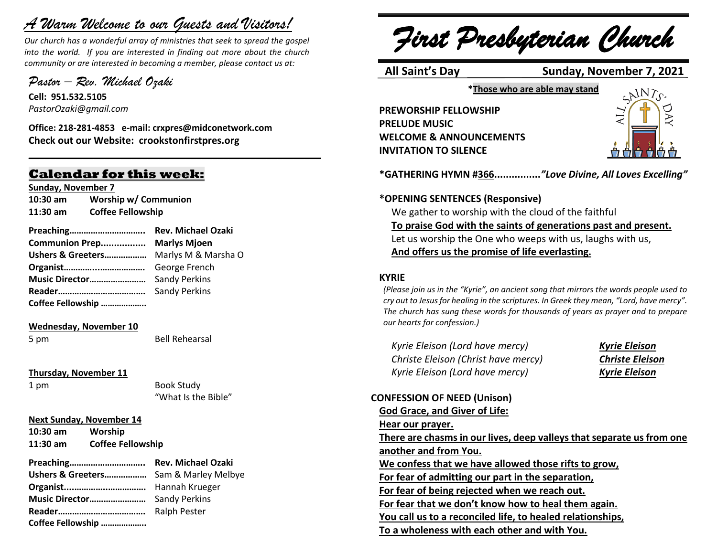# *A Warm Welcome to our Guests and Visitors!*

*Our church has a wonderful array of ministries that seek to spread the gospel into the world. If you are interested in finding out more about the church community or are interested in becoming a member, please contact us at:*

**\_\_\_\_\_\_\_\_\_\_\_\_\_\_\_\_\_\_\_\_\_\_\_\_\_\_\_\_\_\_\_\_\_\_\_\_\_\_\_\_\_\_\_\_\_\_\_\_\_\_\_\_\_\_**

*Pastor – Rev. Michael Ozaki* 

**Cell: 951.532.5105** *PastorOzaki@gmail.com*

**Office: 218-281-4853 e-mail: crxpres@midconetwork.com Check out our Website: crookstonfirstpres.org**

# **Calendar for this week:**

**Sunday, November 7**

**10:30 am Worship w/ Communion 11:30 am Coffee Fellowship**

**Preaching………………………….. Rev. Michael Ozaki Communion Prep................. Marlys Mjoen Ushers & Greeters………………** Marlys M & Marsha O **Organist…………...……………….** George French **Music Director……………………** Sandy Perkins **Reader……………………………….** Sandy Perkins **Coffee Fellowship ………………..**

#### **Wednesday, November 10**

5 pm Bell Rehearsal

**Thursday, November 11**

1 pm Book Study "What Is the Bible"

#### **Next Sunday, November 14**

**10:30 am Worship 11:30 am Coffee Fellowship** 

**Preaching………………………….. Rev. Michael Ozaki Ushers & Greeters………………** Sam & Marley Melbye **Organist....…………..…………….** Hannah Krueger **Music Director……………………** Sandy Perkins **Reader……………………………….** Ralph Pester **Coffee Fellowship ………………..**

*First Presbyterian Church*

## **All Saint's Day Sunday, November 7, 2021**

**\*Those who are able may stand**

**PREWORSHIP FELLOWSHIP PRELUDE MUSIC WELCOME & ANNOUNCEMENTS INVITATION TO SILENCE**



**\*GATHERING HYMN #366................***"Love Divine, All Loves Excelling"* 

#### **\*OPENING SENTENCES (Responsive)**

We gather to worship with the cloud of the faithful **To praise God with the saints of generations past and present.** Let us worship the One who weeps with us, laughs with us, **And offers us the promise of life everlasting.**

#### **KYRIE**

*(Please join us in the "Kyrie", an ancient song that mirrors the words people used to cry out to Jesus for healing in the scriptures. In Greek they mean, "Lord, have mercy". The church has sung these words for thousands of years as prayer and to prepare our hearts for confession.)*

*Kyrie Eleison (Lord have mercy) Kyrie Eleison Christe Eleison (Christ have mercy) Christe Eleison Kyrie Eleison (Lord have mercy) Kyrie Eleison*

# **CONFESSION OF NEED (Unison) God Grace, and Giver of Life: Hear our prayer. There are chasms in our lives, deep valleys that separate us from one another and from You. We confess that we have allowed those rifts to grow, For fear of admitting our part in the separation, For fear of being rejected when we reach out. For fear that we don't know how to heal them again. You call us to a reconciled life, to healed relationships, To a wholeness with each other and with You.**